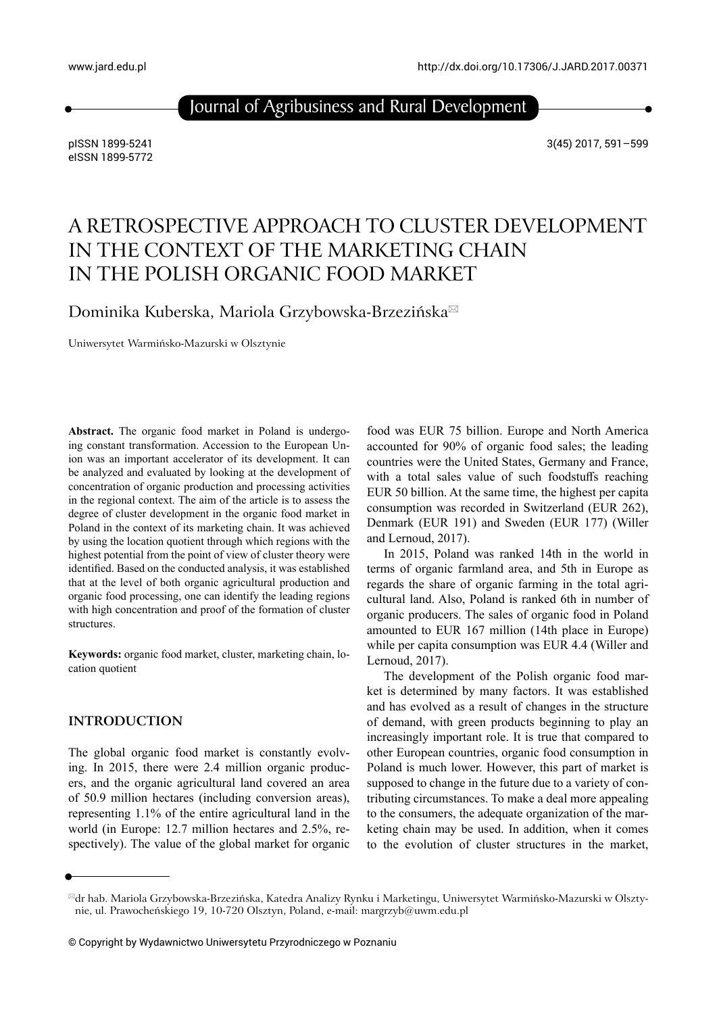Journal of Agribusiness and Rural Development

pISSN 1899-5241 eISSN 1899-5772 3(45) 2017, 591–599

# A RETROSPECTIVE APPROACH TO CLUSTER DEVELOPMENT IN THE CONTEXT OF THE MARKETING CHAIN IN THE POLISH ORGANIC FOOD MARKET

Dominika Kuberska, Mariola Grzybowska-Brzezińska

Uniwersytet Warmińsko-Mazurski w Olsztynie

**Abstract.** The organic food market in Poland is undergoing constant transformation. Accession to the European Union was an important accelerator of its development. It can be analyzed and evaluated by looking at the development of concentration of organic production and processing activities in the regional context. The aim of the article is to assess the degree of cluster development in the organic food market in Poland in the context of its marketing chain. It was achieved by using the location quotient through which regions with the highest potential from the point of view of cluster theory were identified. Based on the conducted analysis, it was established that at the level of both organic agricultural production and organic food processing, one can identify the leading regions with high concentration and proof of the formation of cluster structures.

**Keywords:** organic food market, cluster, marketing chain, location quotient

#### **INTRODUCTION**

The global organic food market is constantly evolving. In 2015, there were 2.4 million organic producers, and the organic agricultural land covered an area of 50.9 million hectares (including conversion areas), representing 1.1% of the entire agricultural land in the world (in Europe: 12.7 million hectares and 2.5%, respectively). The value of the global market for organic

food was EUR 75 billion. Europe and North America accounted for 90% of organic food sales; the leading countries were the United States, Germany and France, with a total sales value of such foodstuffs reaching EUR 50 billion. At the same time, the highest per capita consumption was recorded in Switzerland (EUR 262), Denmark (EUR 191) and Sweden (EUR 177) (Willer and Lernoud, 2017).

In 2015, Poland was ranked 14th in the world in terms of organic farmland area, and 5th in Europe as regards the share of organic farming in the total agricultural land. Also, Poland is ranked 6th in number of organic producers. The sales of organic food in Poland amounted to EUR 167 million (14th place in Europe) while per capita consumption was EUR 4.4 (Willer and Lernoud, 2017).

The development of the Polish organic food market is determined by many factors. It was established and has evolved as a result of changes in the structure of demand, with green products beginning to play an increasingly important role. It is true that compared to other European countries, organic food consumption in Poland is much lower. However, this part of market is supposed to change in the future due to a variety of contributing circumstances. To make a deal more appealing to the consumers, the adequate organization of the marketing chain may be used. In addition, when it comes to the evolution of cluster structures in the market,

dr hab. Mariola Grzybowska-Brzezińska, Katedra Analizy Rynku i Marketingu, Uniwersytet Warmińsko-Mazurski w Olsztynie, ul. Prawocheńskiego 19, 10-720 Olsztyn, Poland, e-mail: [margrzyb@uwm.edu.pl](mailto:margrzyb%40uwm.edu.pl?subject=)

<sup>©</sup> Copyright by Wydawnictwo Uniwersytetu Przyrodniczego w Poznaniu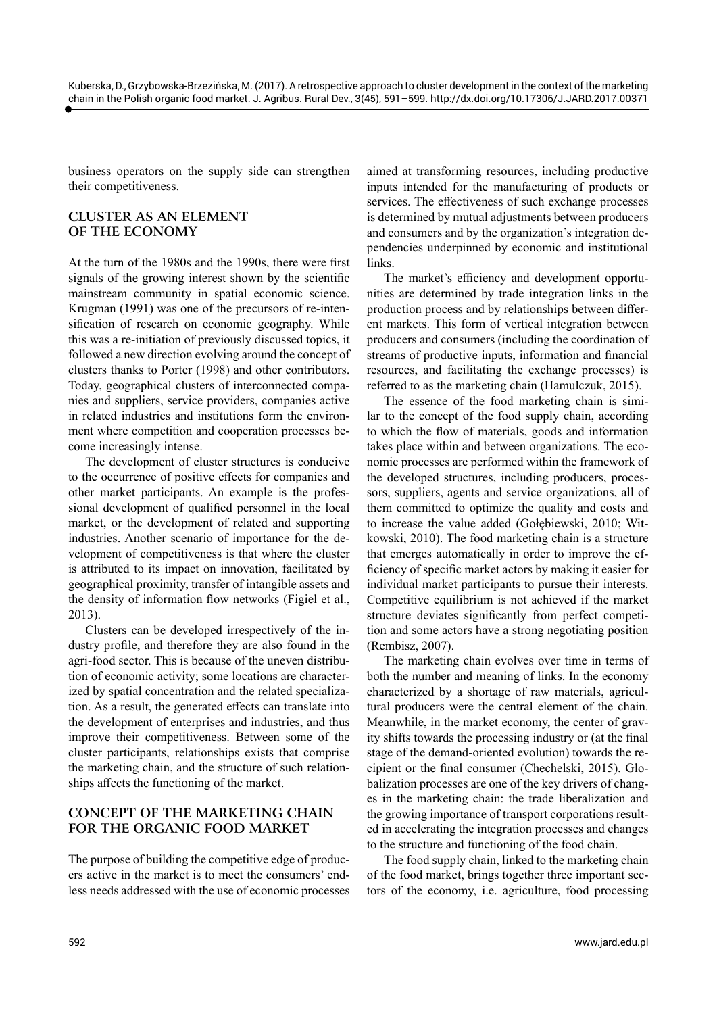business operators on the supply side can strengthen their competitiveness.

## **CLUSTER AS AN ELEMENT OF THE ECONOMY**

At the turn of the 1980s and the 1990s, there were first signals of the growing interest shown by the scientific mainstream community in spatial economic science. Krugman (1991) was one of the precursors of re-intensification of research on economic geography. While this was a re-initiation of previously discussed topics, it followed a new direction evolving around the concept of clusters thanks to Porter (1998) and other contributors. Today, geographical clusters of interconnected companies and suppliers, service providers, companies active in related industries and institutions form the environment where competition and cooperation processes become increasingly intense.

The development of cluster structures is conducive to the occurrence of positive effects for companies and other market participants. An example is the professional development of qualified personnel in the local market, or the development of related and supporting industries. Another scenario of importance for the development of competitiveness is that where the cluster is attributed to its impact on innovation, facilitated by geographical proximity, transfer of intangible assets and the density of information flow networks (Figiel et al., 2013).

Clusters can be developed irrespectively of the industry profile, and therefore they are also found in the agri-food sector. This is because of the uneven distribution of economic activity; some locations are characterized by spatial concentration and the related specialization. As a result, the generated effects can translate into the development of enterprises and industries, and thus improve their competitiveness. Between some of the cluster participants, relationships exists that comprise the marketing chain, and the structure of such relationships affects the functioning of the market.

## **CONCEPT OF THE MARKETING CHAIN FOR THE ORGANIC FOOD MARKET**

The purpose of building the competitive edge of producers active in the market is to meet the consumers' endless needs addressed with the use of economic processes

aimed at transforming resources, including productive inputs intended for the manufacturing of products or services. The effectiveness of such exchange processes is determined by mutual adjustments between producers and consumers and by the organization's integration dependencies underpinned by economic and institutional links.

The market's efficiency and development opportunities are determined by trade integration links in the production process and by relationships between different markets. This form of vertical integration between producers and consumers (including the coordination of streams of productive inputs, information and financial resources, and facilitating the exchange processes) is referred to as the marketing chain (Hamulczuk, 2015).

The essence of the food marketing chain is similar to the concept of the food supply chain, according to which the flow of materials, goods and information takes place within and between organizations. The economic processes are performed within the framework of the developed structures, including producers, processors, suppliers, agents and service organizations, all of them committed to optimize the quality and costs and to increase the value added (Gołębiewski, 2010; Witkowski, 2010). The food marketing chain is a structure that emerges automatically in order to improve the efficiency of specific market actors by making it easier for individual market participants to pursue their interests. Competitive equilibrium is not achieved if the market structure deviates significantly from perfect competition and some actors have a strong negotiating position (Rembisz, 2007).

The marketing chain evolves over time in terms of both the number and meaning of links. In the economy characterized by a shortage of raw materials, agricultural producers were the central element of the chain. Meanwhile, in the market economy, the center of gravity shifts towards the processing industry or (at the final stage of the demand-oriented evolution) towards the recipient or the final consumer (Chechelski, 2015). Globalization processes are one of the key drivers of changes in the marketing chain: the trade liberalization and the growing importance of transport corporations resulted in accelerating the integration processes and changes to the structure and functioning of the food chain.

The food supply chain, linked to the marketing chain of the food market, brings together three important sectors of the economy, i.e. agriculture, food processing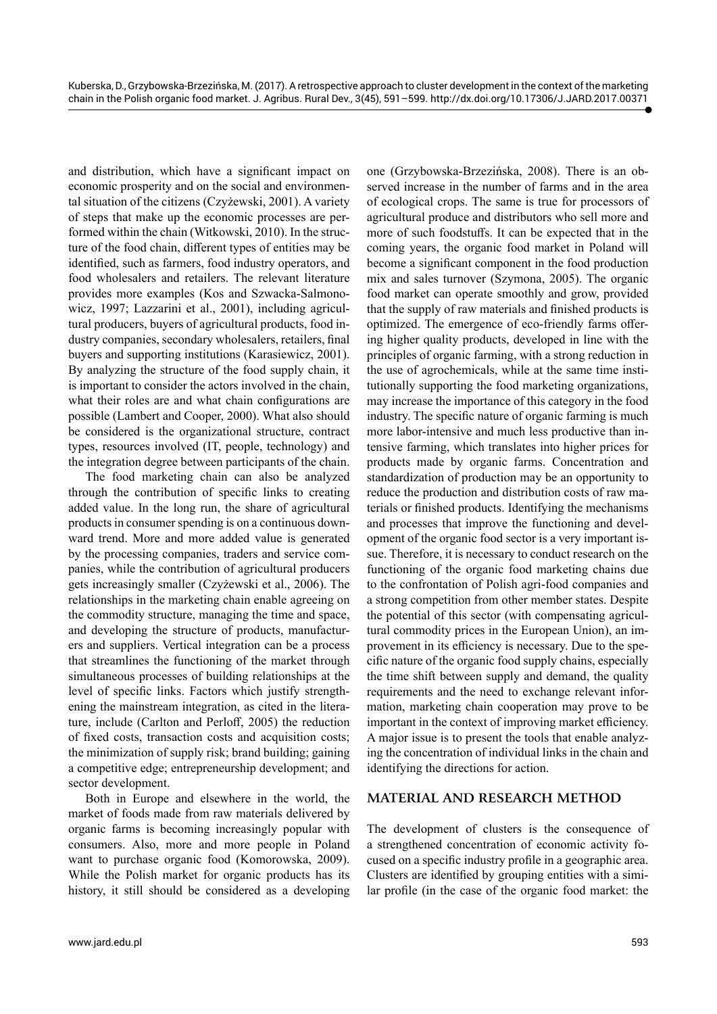and distribution, which have a significant impact on economic prosperity and on the social and environmental situation of the citizens (Czyżewski, 2001). A variety of steps that make up the economic processes are performed within the chain (Witkowski, 2010). In the structure of the food chain, different types of entities may be identified, such as farmers, food industry operators, and food wholesalers and retailers. The relevant literature provides more examples (Kos and Szwacka-Salmonowicz, 1997; Lazzarini et al., 2001), including agricultural producers, buyers of agricultural products, food industry companies, secondary wholesalers, retailers, final buyers and supporting institutions (Karasiewicz, 2001). By analyzing the structure of the food supply chain, it is important to consider the actors involved in the chain, what their roles are and what chain configurations are possible (Lambert and Cooper, 2000). What also should be considered is the organizational structure, contract types, resources involved (IT, people, technology) and the integration degree between participants of the chain.

The food marketing chain can also be analyzed through the contribution of specific links to creating added value. In the long run, the share of agricultural products in consumer spending is on a continuous downward trend. More and more added value is generated by the processing companies, traders and service companies, while the contribution of agricultural producers gets increasingly smaller (Czyżewski et al., 2006). The relationships in the marketing chain enable agreeing on the commodity structure, managing the time and space, and developing the structure of products, manufacturers and suppliers. Vertical integration can be a process that streamlines the functioning of the market through simultaneous processes of building relationships at the level of specific links. Factors which justify strengthening the mainstream integration, as cited in the literature, include (Carlton and Perloff, 2005) the reduction of fixed costs, transaction costs and acquisition costs; the minimization of supply risk; brand building; gaining a competitive edge; entrepreneurship development; and sector development.

Both in Europe and elsewhere in the world, the market of foods made from raw materials delivered by organic farms is becoming increasingly popular with consumers. Also, more and more people in Poland want to purchase organic food (Komorowska, 2009). While the Polish market for organic products has its history, it still should be considered as a developing one (Grzybowska-Brzezińska, 2008). There is an observed increase in the number of farms and in the area of ecological crops. The same is true for processors of agricultural produce and distributors who sell more and more of such foodstuffs. It can be expected that in the coming years, the organic food market in Poland will become a significant component in the food production mix and sales turnover (Szymona, 2005). The organic food market can operate smoothly and grow, provided that the supply of raw materials and finished products is optimized. The emergence of eco-friendly farms offering higher quality products, developed in line with the principles of organic farming, with a strong reduction in the use of agrochemicals, while at the same time institutionally supporting the food marketing organizations, may increase the importance of this category in the food industry. The specific nature of organic farming is much more labor-intensive and much less productive than intensive farming, which translates into higher prices for products made by organic farms. Concentration and standardization of production may be an opportunity to reduce the production and distribution costs of raw materials or finished products. Identifying the mechanisms and processes that improve the functioning and development of the organic food sector is a very important issue. Therefore, it is necessary to conduct research on the functioning of the organic food marketing chains due to the confrontation of Polish agri-food companies and a strong competition from other member states. Despite the potential of this sector (with compensating agricultural commodity prices in the European Union), an improvement in its efficiency is necessary. Due to the specific nature of the organic food supply chains, especially the time shift between supply and demand, the quality requirements and the need to exchange relevant information, marketing chain cooperation may prove to be important in the context of improving market efficiency. A major issue is to present the tools that enable analyzing the concentration of individual links in the chain and identifying the directions for action.

## **MATERIAL AND RESEARCH METHOD**

The development of clusters is the consequence of a strengthened concentration of economic activity focused on a specific industry profile in a geographic area. Clusters are identified by grouping entities with a similar profile (in the case of the organic food market: the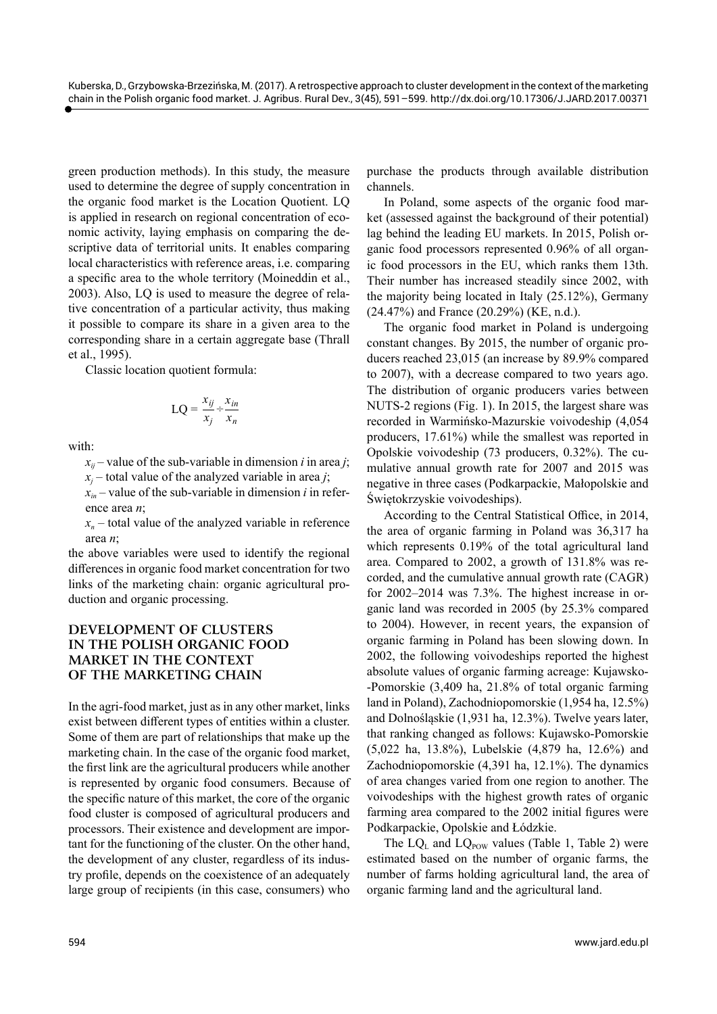green production methods). In this study, the measure used to determine the degree of supply concentration in the organic food market is the Location Quotient. LQ is applied in research on regional concentration of economic activity, laying emphasis on comparing the descriptive data of territorial units. It enables comparing local characteristics with reference areas, i.e. comparing a specific area to the whole territory (Moineddin et al., 2003). Also, LQ is used to measure the degree of relative concentration of a particular activity, thus making it possible to compare its share in a given area to the corresponding share in a certain aggregate base (Thrall et al., 1995).

Classic location quotient formula:

$$
LQ = \frac{x_{ij}}{x_j} \div \frac{x_{in}}{x_n}
$$

with:

 $x_{ii}$  – value of the sub-variable in dimension *i* in area *j*; *xj* – total value of the analyzed variable in area *j*;

 $x_{in}$  – value of the sub-variable in dimension *i* in reference area *n*;

 $x_n$  – total value of the analyzed variable in reference area *n*;

the above variables were used to identify the regional differences in organic food market concentration for two links of the marketing chain: organic agricultural production and organic processing.

## **DEVELOPMENT OF CLUSTERS IN THE POLISH ORGANIC FOOD MARKET IN THE CONTEXT OF THE MARKETING CHAIN**

In the agri-food market, just as in any other market, links exist between different types of entities within a cluster. Some of them are part of relationships that make up the marketing chain. In the case of the organic food market, the first link are the agricultural producers while another is represented by organic food consumers. Because of the specific nature of this market, the core of the organic food cluster is composed of agricultural producers and processors. Their existence and development are important for the functioning of the cluster. On the other hand, the development of any cluster, regardless of its industry profile, depends on the coexistence of an adequately large group of recipients (in this case, consumers) who

purchase the products through available distribution channels.

In Poland, some aspects of the organic food market (assessed against the background of their potential) lag behind the leading EU markets. In 2015, Polish organic food processors represented 0.96% of all organic food processors in the EU, which ranks them 13th. Their number has increased steadily since 2002, with the majority being located in Italy (25.12%), Germany (24.47%) and France (20.29%) (KE, n.d.).

The organic food market in Poland is undergoing constant changes. By 2015, the number of organic producers reached 23,015 (an increase by 89.9% compared to 2007), with a decrease compared to two years ago. The distribution of organic producers varies between NUTS-2 regions (Fig. 1). In 2015, the largest share was recorded in Warmińsko-Mazurskie voivodeship (4,054 producers, 17.61%) while the smallest was reported in Opolskie voivodeship (73 producers, 0.32%). The cumulative annual growth rate for 2007 and 2015 was negative in three cases (Podkarpackie, Małopolskie and Świętokrzyskie voivodeships).

According to the Central Statistical Office, in 2014, the area of organic farming in Poland was 36,317 ha which represents 0.19% of the total agricultural land area. Compared to 2002, a growth of 131.8% was recorded, and the cumulative annual growth rate (CAGR) for 2002–2014 was 7.3%. The highest increase in organic land was recorded in 2005 (by 25.3% compared to 2004). However, in recent years, the expansion of organic farming in Poland has been slowing down. In 2002, the following voivodeships reported the highest absolute values of organic farming acreage: Kujawsko- -Pomorskie (3,409 ha, 21.8% of total organic farming land in Poland), Zachodniopomorskie (1,954 ha, 12.5%) and Dolnośląskie (1,931 ha, 12.3%). Twelve years later, that ranking changed as follows: Kujawsko-Pomorskie (5,022 ha, 13.8%), Lubelskie (4,879 ha, 12.6%) and Zachodniopomorskie (4,391 ha, 12.1%). The dynamics of area changes varied from one region to another. The voivodeships with the highest growth rates of organic farming area compared to the 2002 initial figures were Podkarpackie, Opolskie and Łódzkie.

The  $LQ_L$  and  $LQ_{\text{pow}}$  values (Table 1, Table 2) were estimated based on the number of organic farms, the number of farms holding agricultural land, the area of organic farming land and the agricultural land.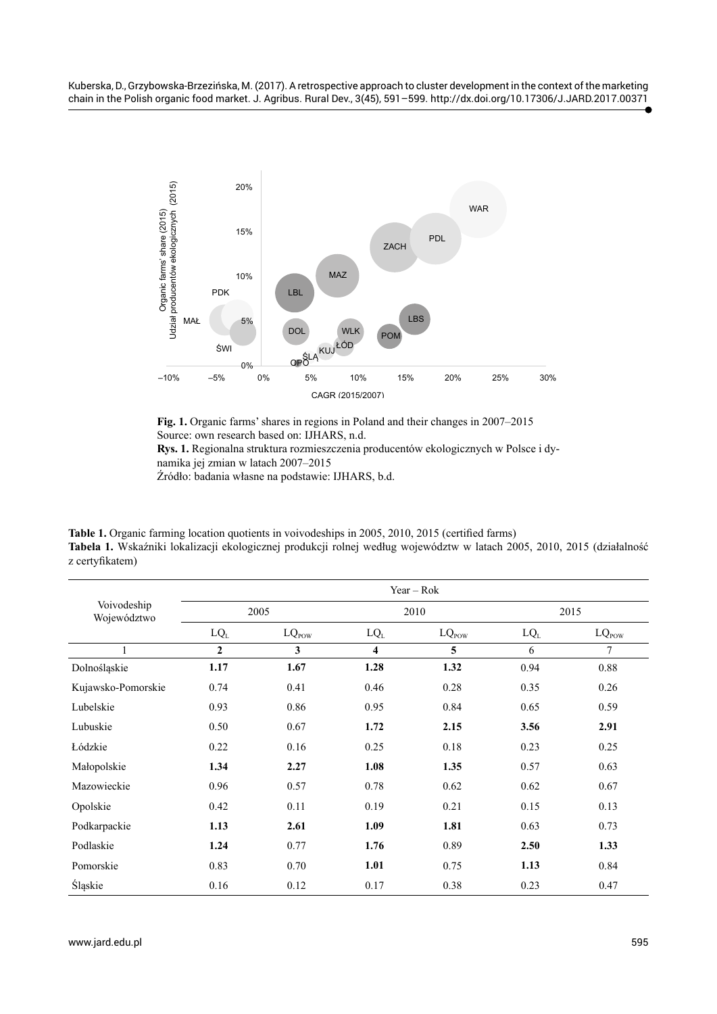

**Fig. 1.** Organic farms' shares in regions in Poland and their changes in 2007–2015 Source: own research based on: IJHARS, n.d. **Rys. 1.** Regionalna struktura rozmieszczenia producentów ekologicznych w Polsce i dynamika jej zmian w latach 2007–2015 Źródło: badania własne na podstawie: IJHARS, b.d.

**Table 1.** Organic farming location quotients in voivodeships in 2005, 2010, 2015 (certified farms) **Tabela 1.** Wskaźniki lokalizacji ekologicznej produkcji rolnej według województw w latach 2005, 2010, 2015 (działalność z certyfikatem)

|                            | $Year - Rok$ |                   |        |                   |        |                   |  |
|----------------------------|--------------|-------------------|--------|-------------------|--------|-------------------|--|
| Voivodeship<br>Województwo | 2005         |                   | 2010   |                   | 2015   |                   |  |
|                            | $LQ_L$       | $LQ_{\text{pow}}$ | $LQ_L$ | $LQ_{\text{pow}}$ | $LQ_L$ | $LQ_{\text{pow}}$ |  |
|                            | $\mathbf{2}$ | 3                 | 4      | 5                 | 6      | 7                 |  |
| Dolnośląskie               | 1.17         | 1.67              | 1.28   | 1.32              | 0.94   | 0.88              |  |
| Kujawsko-Pomorskie         | 0.74         | 0.41              | 0.46   | 0.28              | 0.35   | 0.26              |  |
| Lubelskie                  | 0.93         | 0.86              | 0.95   | 0.84              | 0.65   | 0.59              |  |
| Lubuskie                   | 0.50         | 0.67              | 1.72   | 2.15              | 3.56   | 2.91              |  |
| Łódzkie                    | 0.22         | 0.16              | 0.25   | 0.18              | 0.23   | 0.25              |  |
| Małopolskie                | 1.34         | 2.27              | 1.08   | 1.35              | 0.57   | 0.63              |  |
| Mazowieckie                | 0.96         | 0.57              | 0.78   | 0.62              | 0.62   | 0.67              |  |
| Opolskie                   | 0.42         | 0.11              | 0.19   | 0.21              | 0.15   | 0.13              |  |
| Podkarpackie               | 1.13         | 2.61              | 1.09   | 1.81              | 0.63   | 0.73              |  |
| Podlaskie                  | 1.24         | 0.77              | 1.76   | 0.89              | 2.50   | 1.33              |  |
| Pomorskie                  | 0.83         | 0.70              | 1.01   | 0.75              | 1.13   | 0.84              |  |
| Śląskie                    | 0.16         | 0.12              | 0.17   | 0.38              | 0.23   | 0.47              |  |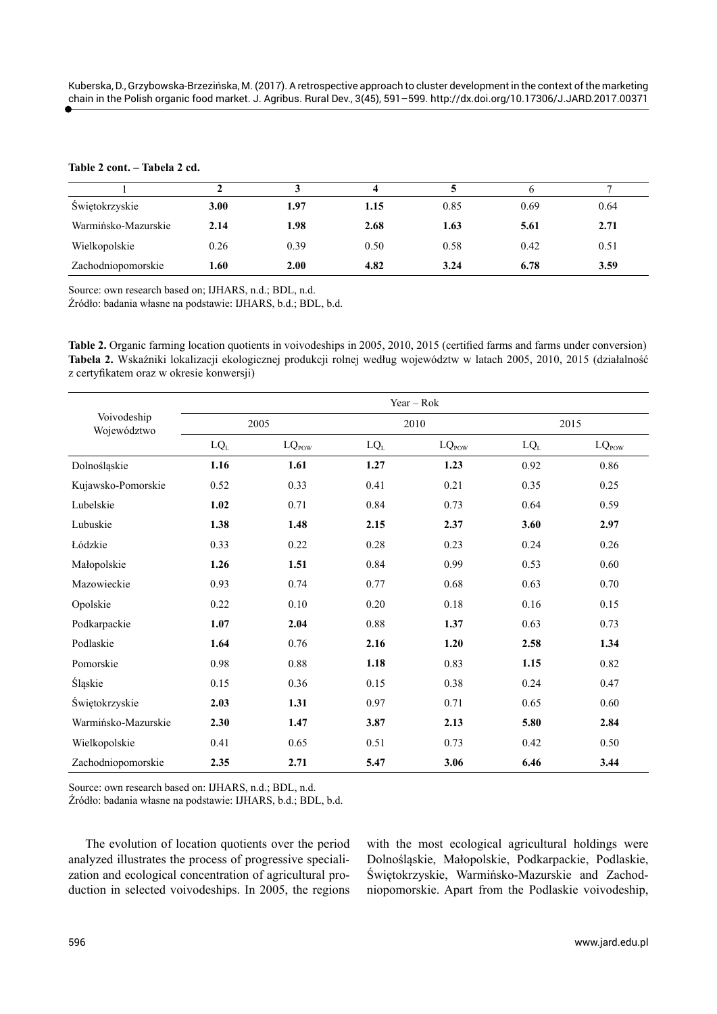## **Table 2 cont. – Tabela 2 cd.**

| Swiętokrzyskie      | 3.00 | 1.97 | 1.15 | 0.85 | 0.69 | 0.64 |
|---------------------|------|------|------|------|------|------|
| Warmińsko-Mazurskie | 2.14 | 1.98 | 2.68 | 1.63 | 5.61 | 2.71 |
| Wielkopolskie       | 0.26 | 0.39 | 0.50 | 0.58 | 0.42 | 0.51 |
| Zachodniopomorskie  | 1.60 | 2.00 | 4.82 | 3.24 | 6.78 | 3.59 |

Source: own research based on; IJHARS, n.d.; BDL, n.d.

Źródło: badania własne na podstawie: IJHARS, b.d.; BDL, b.d.

**Table 2.** Organic farming location quotients in voivodeships in 2005, 2010, 2015 (certified farms and farms under conversion) **Tabela 2.** Wskaźniki lokalizacji ekologicznej produkcji rolnej według województw w latach 2005, 2010, 2015 (działalność z certyfikatem oraz w okresie konwersji)

| Voivodeship<br>Województwo | $Year - Rok$ |                   |        |                   |        |                   |  |
|----------------------------|--------------|-------------------|--------|-------------------|--------|-------------------|--|
|                            | 2005         |                   | 2010   |                   | 2015   |                   |  |
|                            | $LQ_L$       | $LQ_{\text{pow}}$ | $LQ_L$ | $LQ_{\text{pow}}$ | $LQ_L$ | $LQ_{\text{pow}}$ |  |
| Dolnośląskie               | 1.16         | 1.61              | 1.27   | 1.23              | 0.92   | 0.86              |  |
| Kujawsko-Pomorskie         | 0.52         | 0.33              | 0.41   | 0.21              | 0.35   | 0.25              |  |
| Lubelskie                  | 1.02         | 0.71              | 0.84   | 0.73              | 0.64   | 0.59              |  |
| Lubuskie                   | 1.38         | 1.48              | 2.15   | 2.37              | 3.60   | 2.97              |  |
| Łódzkie                    | 0.33         | 0.22              | 0.28   | 0.23              | 0.24   | 0.26              |  |
| Małopolskie                | 1.26         | 1.51              | 0.84   | 0.99              | 0.53   | 0.60              |  |
| Mazowieckie                | 0.93         | 0.74              | 0.77   | 0.68              | 0.63   | 0.70              |  |
| Opolskie                   | 0.22         | 0.10              | 0.20   | 0.18              | 0.16   | 0.15              |  |
| Podkarpackie               | 1.07         | 2.04              | 0.88   | 1.37              | 0.63   | 0.73              |  |
| Podlaskie                  | 1.64         | 0.76              | 2.16   | 1.20              | 2.58   | 1.34              |  |
| Pomorskie                  | 0.98         | 0.88              | 1.18   | 0.83              | 1.15   | 0.82              |  |
| Śląskie                    | 0.15         | 0.36              | 0.15   | 0.38              | 0.24   | 0.47              |  |
| Świętokrzyskie             | 2.03         | 1.31              | 0.97   | 0.71              | 0.65   | 0.60              |  |
| Warmińsko-Mazurskie        | 2.30         | 1.47              | 3.87   | 2.13              | 5.80   | 2.84              |  |
| Wielkopolskie              | 0.41         | 0.65              | 0.51   | 0.73              | 0.42   | 0.50              |  |
| Zachodniopomorskie         | 2.35         | 2.71              | 5.47   | 3.06              | 6.46   | 3.44              |  |

Source: own research based on: IJHARS, n.d.; BDL, n.d.

Źródło: badania własne na podstawie: IJHARS, b.d.; BDL, b.d.

The evolution of location quotients over the period analyzed illustrates the process of progressive specialization and ecological concentration of agricultural production in selected voivodeships. In 2005, the regions

with the most ecological agricultural holdings were Dolnośląskie, Małopolskie, Podkarpackie, Podlaskie, Świętokrzyskie, Warmińsko-Mazurskie and Zachodniopomorskie. Apart from the Podlaskie voivodeship,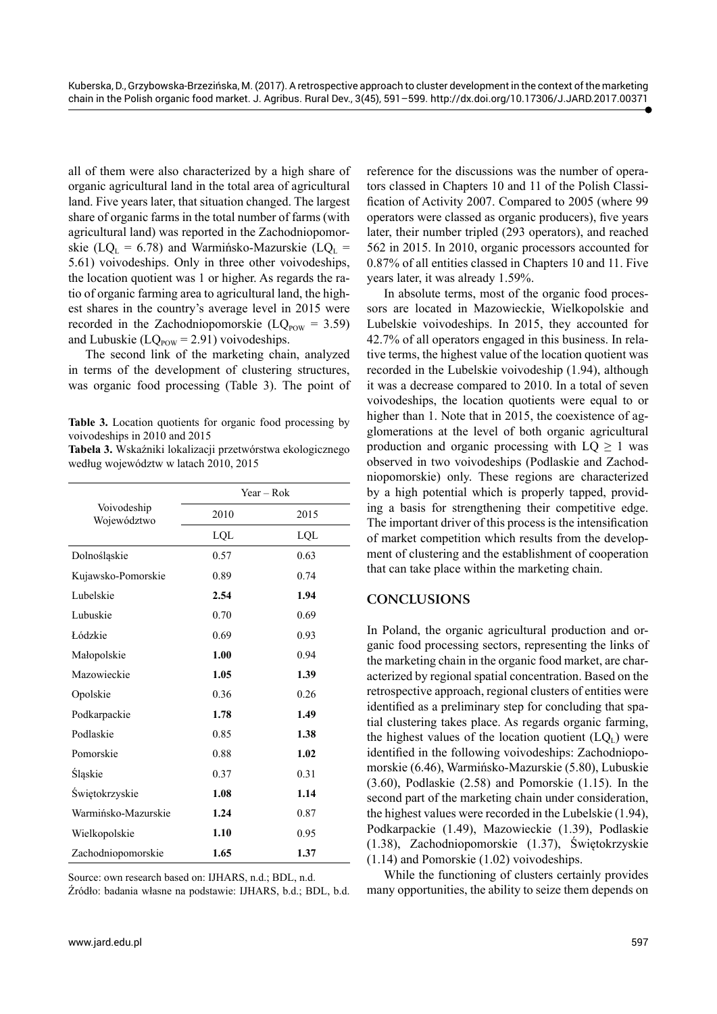all of them were also characterized by a high share of organic agricultural land in the total area of agricultural land. Five years later, that situation changed. The largest share of organic farms in the total number of farms (with agricultural land) was reported in the Zachodniopomorskie (LQ<sub>L</sub> = 6.78) and Warmińsko-Mazurskie (LQ<sub>L</sub> = 5.61) voivodeships. Only in three other voivodeships, the location quotient was 1 or higher. As regards the ratio of organic farming area to agricultural land, the highest shares in the country's average level in 2015 were recorded in the Zachodniopomorskie ( $LQ_{\text{pow}} = 3.59$ ) and Lubuskie ( $LQ_{\text{pow}} = 2.91$ ) voivodeships.

The second link of the marketing chain, analyzed in terms of the development of clustering structures, was organic food processing (Table 3). The point of

**Table 3.** Location quotients for organic food processing by voivodeships in 2010 and 2015

**Tabela 3.** Wskaźniki lokalizacji przetwórstwa ekologicznego według województw w latach 2010, 2015

|                            | Year – Rok |      |  |  |
|----------------------------|------------|------|--|--|
| Voivodeship<br>Województwo | 2010       | 2015 |  |  |
|                            | LQL        | LQL  |  |  |
| Dolnośląskie               | 0.57       | 0.63 |  |  |
| Kujawsko-Pomorskie         | 0.89       | 0.74 |  |  |
| Lubelskie                  | 2.54       | 1.94 |  |  |
| Lubuskie                   | 0.70       | 0.69 |  |  |
| Łódzkie                    | 0.69       | 0.93 |  |  |
| Małopolskie                | 1.00       | 0.94 |  |  |
| Mazowieckie                | 1.05       | 1.39 |  |  |
| Opolskie                   | 0.36       | 0.26 |  |  |
| Podkarpackie               | 1.78       | 1.49 |  |  |
| Podlaskie                  | 0.85       | 1.38 |  |  |
| Pomorskie                  | 0.88       | 1.02 |  |  |
| Śląskie                    | 0.37       | 0.31 |  |  |
| Świętokrzyskie             | 1.08       | 1.14 |  |  |
| Warmińsko-Mazurskie        | 1.24       | 0.87 |  |  |
| Wielkopolskie              | 1.10       | 0.95 |  |  |
| Zachodniopomorskie         | 1.65       | 1.37 |  |  |

Source: own research based on: IJHARS, n.d.; BDL, n.d.

Źródło: badania własne na podstawie: IJHARS, b.d.; BDL, b.d.

reference for the discussions was the number of operators classed in Chapters 10 and 11 of the Polish Classification of Activity 2007. Compared to 2005 (where 99 operators were classed as organic producers), five years later, their number tripled (293 operators), and reached 562 in 2015. In 2010, organic processors accounted for 0.87% of all entities classed in Chapters 10 and 11. Five years later, it was already 1.59%.

In absolute terms, most of the organic food processors are located in Mazowieckie, Wielkopolskie and Lubelskie voivodeships. In 2015, they accounted for 42.7% of all operators engaged in this business. In relative terms, the highest value of the location quotient was recorded in the Lubelskie voivodeship (1.94), although it was a decrease compared to 2010. In a total of seven voivodeships, the location quotients were equal to or higher than 1. Note that in 2015, the coexistence of agglomerations at the level of both organic agricultural production and organic processing with  $LQ \geq 1$  was observed in two voivodeships (Podlaskie and Zachodniopomorskie) only. These regions are characterized by a high potential which is properly tapped, providing a basis for strengthening their competitive edge. The important driver of this process is the intensification of market competition which results from the development of clustering and the establishment of cooperation that can take place within the marketing chain.

## **CONCLUSIONS**

In Poland, the organic agricultural production and organic food processing sectors, representing the links of the marketing chain in the organic food market, are characterized by regional spatial concentration. Based on the retrospective approach, regional clusters of entities were identified as a preliminary step for concluding that spatial clustering takes place. As regards organic farming, the highest values of the location quotient  $(LQ_L)$  were identified in the following voivodeships: Zachodniopomorskie (6.46), Warmińsko-Mazurskie (5.80), Lubuskie (3.60), Podlaskie (2.58) and Pomorskie (1.15). In the second part of the marketing chain under consideration, the highest values were recorded in the Lubelskie (1.94), Podkarpackie (1.49), Mazowieckie (1.39), Podlaskie (1.38), Zachodniopomorskie (1.37), Świętokrzyskie (1.14) and Pomorskie (1.02) voivodeships.

While the functioning of clusters certainly provides many opportunities, the ability to seize them depends on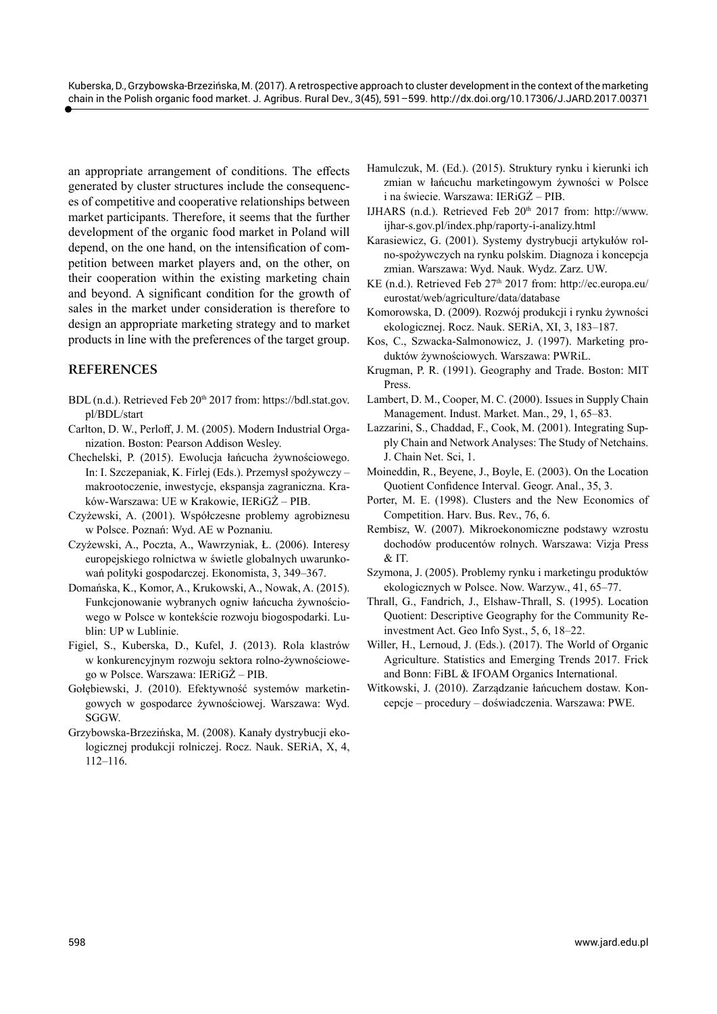an appropriate arrangement of conditions. The effects generated by cluster structures include the consequences of competitive and cooperative relationships between market participants. Therefore, it seems that the further development of the organic food market in Poland will depend, on the one hand, on the intensification of competition between market players and, on the other, on their cooperation within the existing marketing chain and beyond. A significant condition for the growth of sales in the market under consideration is therefore to design an appropriate marketing strategy and to market products in line with the preferences of the target group.

## **REFERENCES**

- BDL (n.d.). Retrieved Feb 20<sup>th</sup> 2017 from: [https://bdl.stat.gov.](https://bdl.stat.gov.pl/BDL/start) [pl/BDL/start](https://bdl.stat.gov.pl/BDL/start)
- Carlton, D. W., Perloff, J. M. (2005). Modern Industrial Organization. Boston: Pearson Addison Wesley.
- Chechelski, P. (2015). Ewolucja łańcucha żywnościowego. In: I. Szczepaniak, K. Firlej (Eds.). Przemysł spożywczy – makrootoczenie, inwestycje, ekspansja zagraniczna. Kraków-Warszawa: UE w Krakowie, IERiGŻ – PIB.
- Czyżewski, A. (2001). Współczesne problemy agrobiznesu w Polsce. Poznań: Wyd. AE w Poznaniu.
- Czyżewski, A., Poczta, A., Wawrzyniak, Ł. (2006). Interesy europejskiego rolnictwa w świetle globalnych uwarunkowań polityki gospodarczej. Ekonomista, 3, 349–367.
- Domańska, K., Komor, A., Krukowski, A., Nowak, A. (2015). Funkcjonowanie wybranych ogniw łańcucha żywnościowego w Polsce w kontekście rozwoju biogospodarki. Lublin: UP w Lublinie.
- Figiel, S., Kuberska, D., Kufel, J. (2013). Rola klastrów w konkurencyjnym rozwoju sektora rolno-żywnościowego w Polsce. Warszawa: IERiGŻ – PIB.
- Gołębiewski, J. (2010). Efektywność systemów marketingowych w gospodarce żywnościowej. Warszawa: Wyd. SGGW.
- Grzybowska-Brzezińska, M. (2008). Kanały dystrybucji ekologicznej produkcji rolniczej. Rocz. Nauk. SERiA, X, 4, 112–116.
- Hamulczuk, M. (Ed.). (2015). Struktury rynku i kierunki ich zmian w łańcuchu marketingowym żywności w Polsce i na świecie. Warszawa: IERiGŻ – PIB.
- IJHARS (n.d.). Retrieved Feb 20th 2017 from: [http://www.](http://www.ijhar-s.gov.pl/index.php/raporty-i-analizy.html) [ijhar-s.gov.pl/index.php/raporty-i-analizy.html](http://www.ijhar-s.gov.pl/index.php/raporty-i-analizy.html)
- Karasiewicz, G. (2001). Systemy dystrybucji artykułów rolno-spożywczych na rynku polskim. Diagnoza i koncepcja zmian. Warszawa: Wyd. Nauk. Wydz. Zarz. UW.
- KE (n.d.). Retrieved Feb 27<sup>th</sup> 2017 from: [http://ec.europa.eu/](http://ec.europa.eu/eurostat/web/agriculture/data/database) [eurostat/web/agriculture/data/database](http://ec.europa.eu/eurostat/web/agriculture/data/database)
- Komorowska, D. (2009). Rozwój produkcji i rynku żywności ekologicznej. Rocz. Nauk. SERiA, XI, 3, 183–187.
- Kos, C., Szwacka-Salmonowicz, J. (1997). Marketing produktów żywnościowych. Warszawa: PWRiL.
- Krugman, P. R. (1991). Geography and Trade. Boston: MIT Press.
- Lambert, D. M., Cooper, M. C. (2000). Issues in Supply Chain Management. Indust. Market. Man., 29, 1, 65–83.
- Lazzarini, S., Chaddad, F., Cook, M. (2001). Integrating Supply Chain and Network Analyses: The Study of Netchains. J. Chain Net. Sci, 1.
- Moineddin, R., Beyene, J., Boyle, E. (2003). On the Location Quotient Confidence Interval. Geogr. Anal., 35, 3.
- Porter, M. E. (1998). Clusters and the New Economics of Competition. Harv. Bus. Rev., 76, 6.
- Rembisz, W. (2007). Mikroekonomiczne podstawy wzrostu dochodów producentów rolnych. Warszawa: Vizja Press  $&$ IT.
- Szymona, J. (2005). Problemy rynku i marketingu produktów ekologicznych w Polsce. Now. Warzyw., 41, 65–77.
- Thrall, G., Fandrich, J., Elshaw-Thrall, S. (1995). Location Quotient: Descriptive Geography for the Community Reinvestment Act. Geo Info Syst., 5, 6, 18–22.
- Willer, H., Lernoud, J. (Eds.). (2017). The World of Organic Agriculture. Statistics and Emerging Trends 2017. Frick and Bonn: FiBL & IFOAM Organics International.
- Witkowski, J. (2010). Zarządzanie łańcuchem dostaw. Koncepcje – procedury – doświadczenia. Warszawa: PWE.